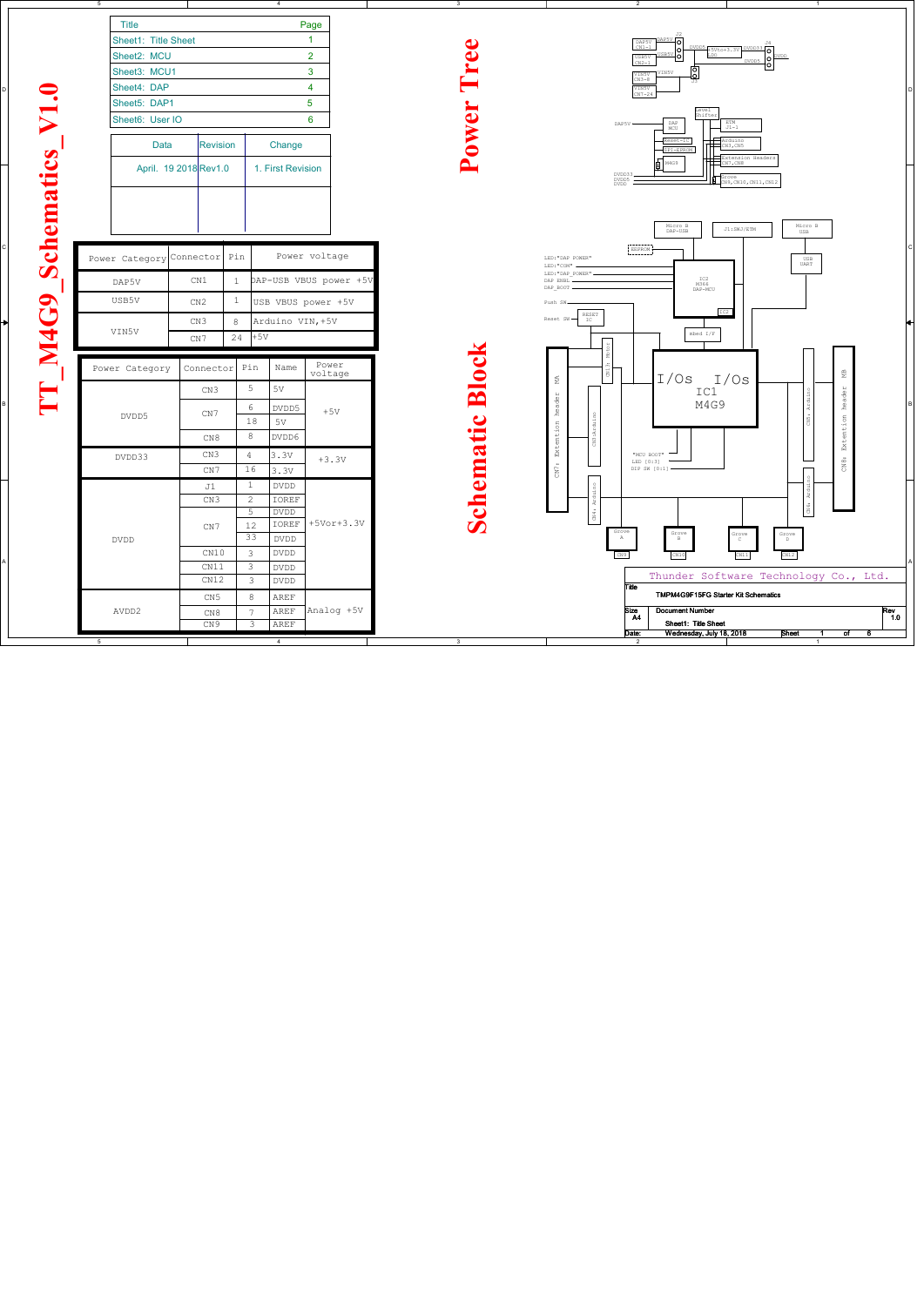D

C

B

A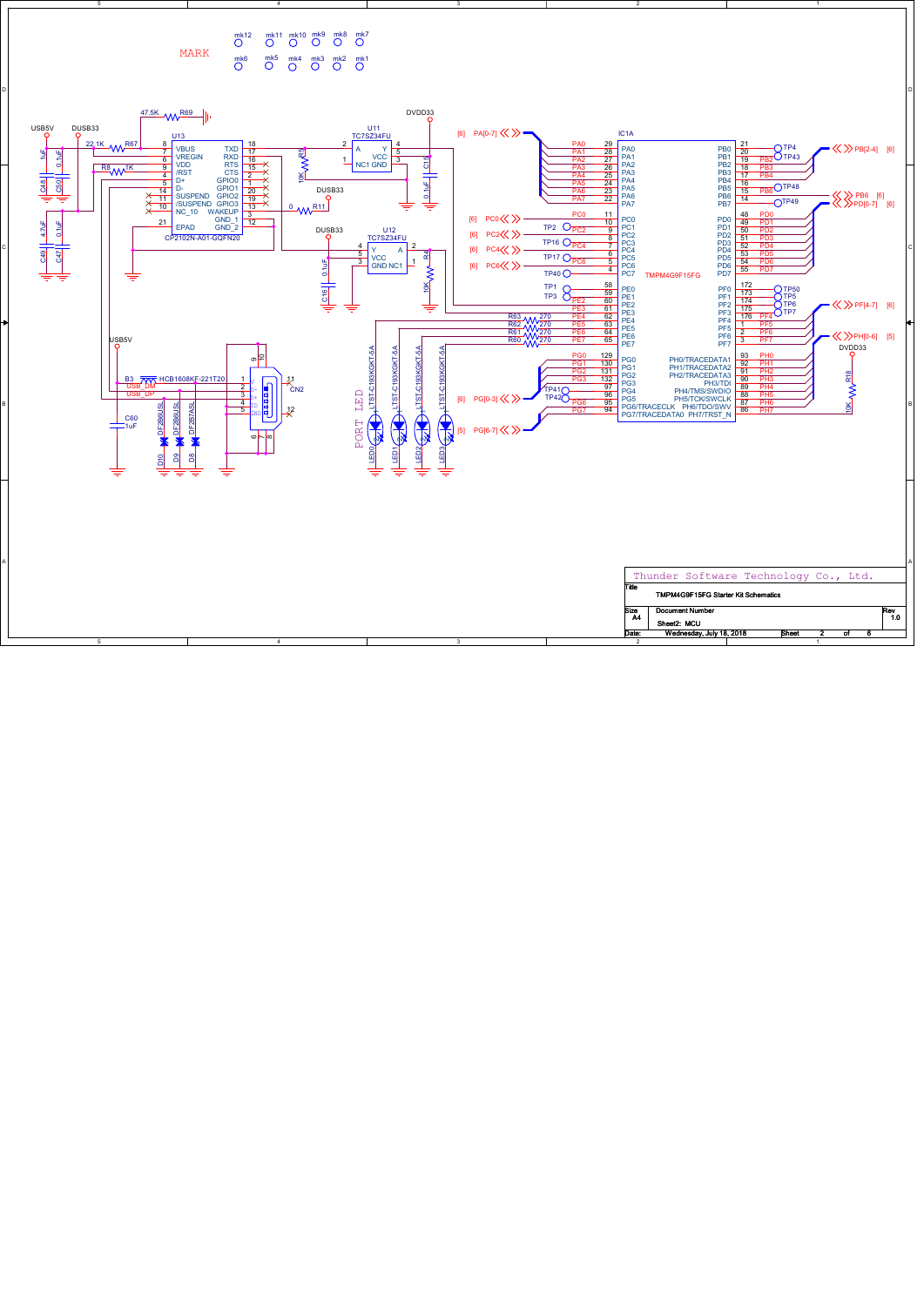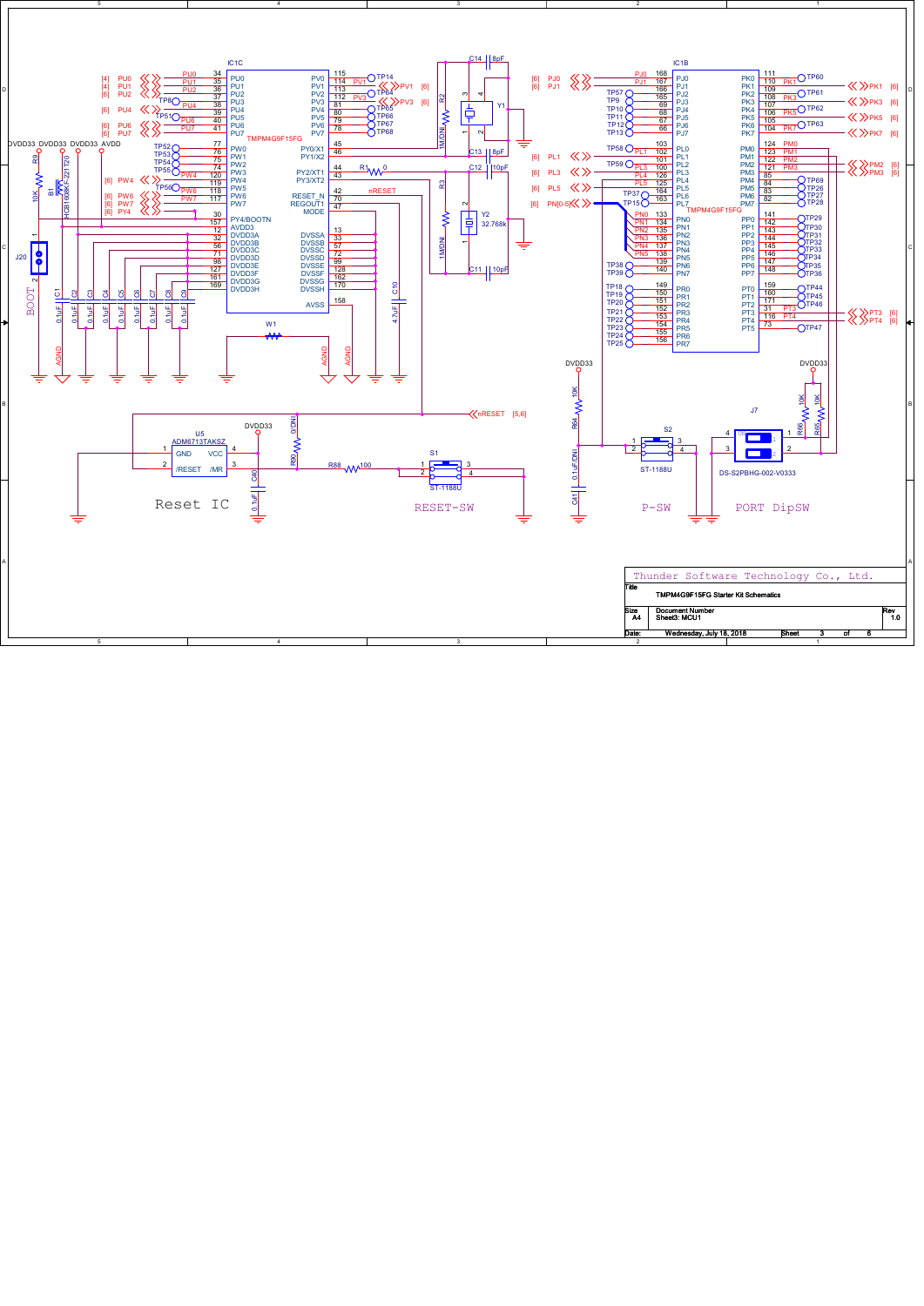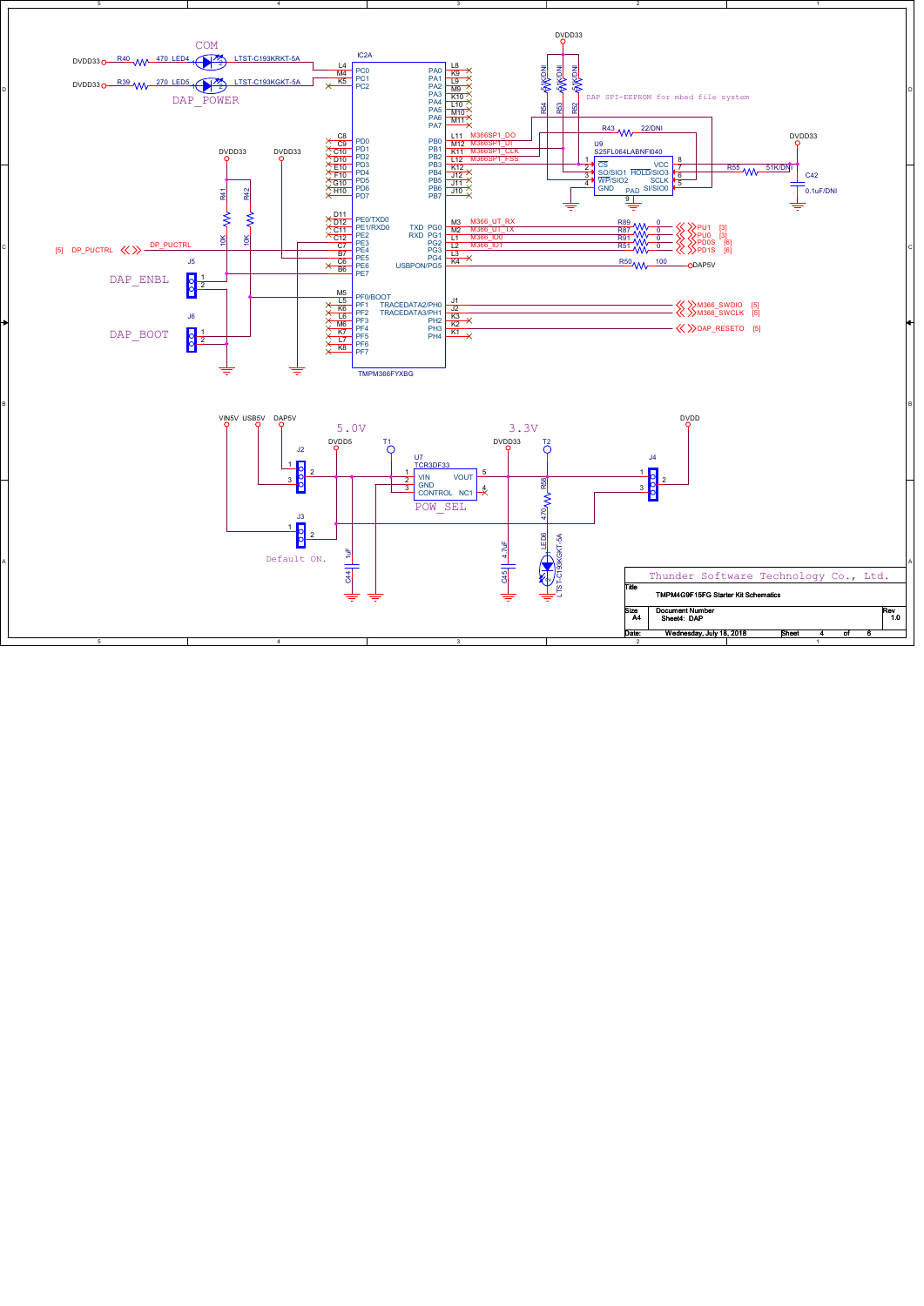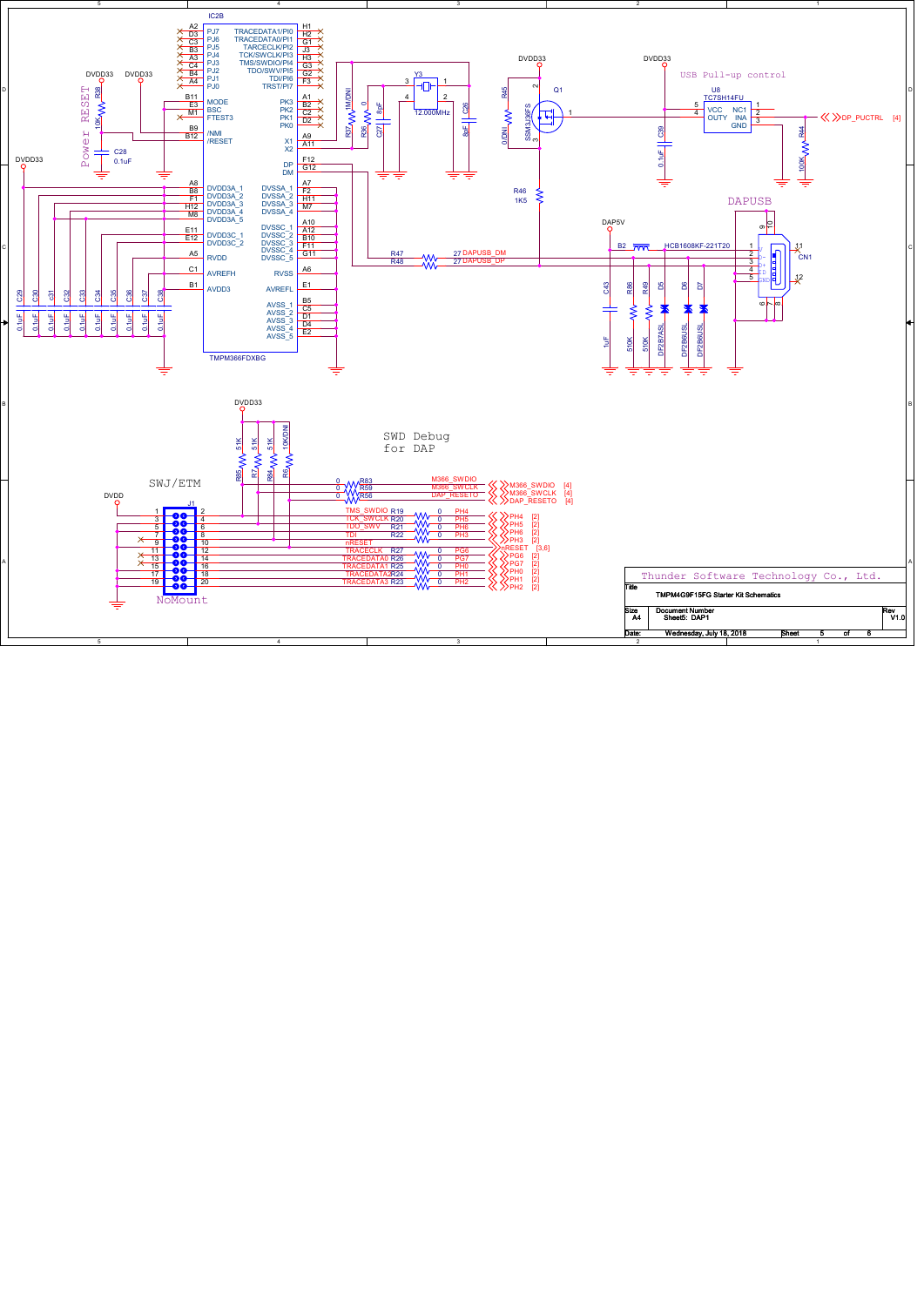